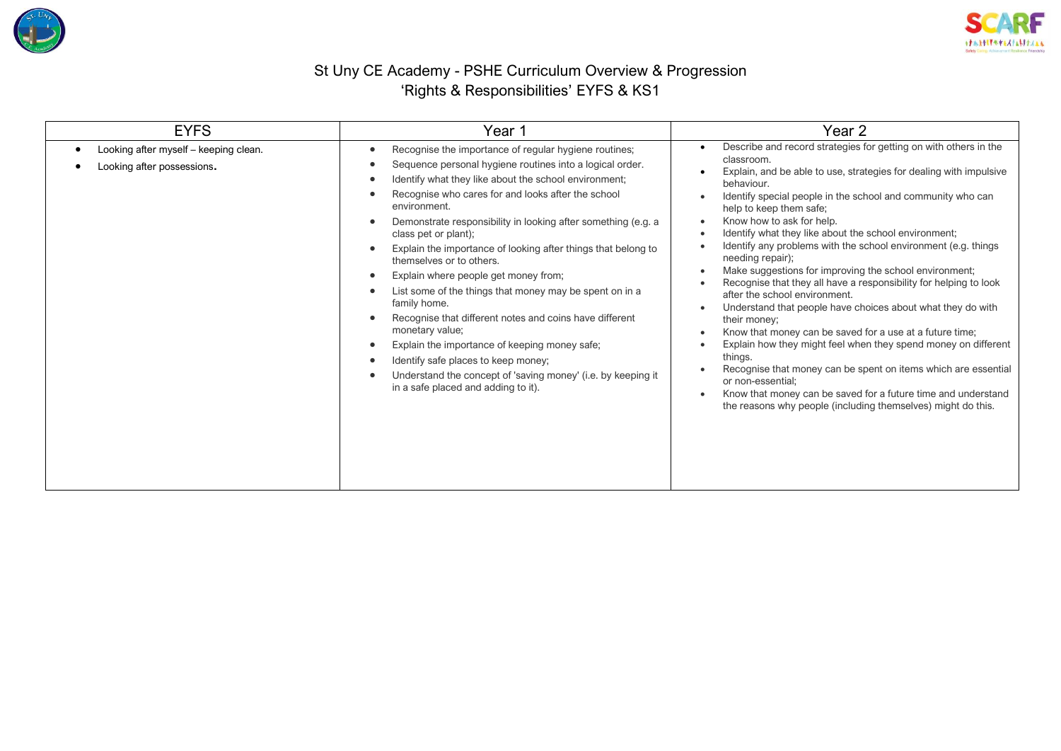



## St Uny CE Academy - PSHE Curriculum Overview & Progression 'Rights & Responsibilities' EYFS & KS1

| <b>EYFS</b>                                                         | Year 1                                                                                                                                                                                                                                                                                                                                                                                                                                                                                                                                                                                                                                                                                                                                                                                                                                                           | Year 2                                                                                                                                                                                                                                                                                                                                                                                                                                                                                                                                                                                                                                                                                                                                                                                                                                                                                                                                                                                                                                                   |
|---------------------------------------------------------------------|------------------------------------------------------------------------------------------------------------------------------------------------------------------------------------------------------------------------------------------------------------------------------------------------------------------------------------------------------------------------------------------------------------------------------------------------------------------------------------------------------------------------------------------------------------------------------------------------------------------------------------------------------------------------------------------------------------------------------------------------------------------------------------------------------------------------------------------------------------------|----------------------------------------------------------------------------------------------------------------------------------------------------------------------------------------------------------------------------------------------------------------------------------------------------------------------------------------------------------------------------------------------------------------------------------------------------------------------------------------------------------------------------------------------------------------------------------------------------------------------------------------------------------------------------------------------------------------------------------------------------------------------------------------------------------------------------------------------------------------------------------------------------------------------------------------------------------------------------------------------------------------------------------------------------------|
| Looking after myself - keeping clean.<br>Looking after possessions. | Recognise the importance of regular hygiene routines;<br>Sequence personal hygiene routines into a logical order.<br>Identify what they like about the school environment;<br>Recognise who cares for and looks after the school<br>environment.<br>Demonstrate responsibility in looking after something (e.g. a<br>class pet or plant);<br>Explain the importance of looking after things that belong to<br>themselves or to others.<br>Explain where people get money from;<br>$\bullet$<br>List some of the things that money may be spent on in a<br>family home.<br>Recognise that different notes and coins have different<br>monetary value;<br>Explain the importance of keeping money safe;<br>$\bullet$<br>Identify safe places to keep money;<br>Understand the concept of 'saving money' (i.e. by keeping it<br>in a safe placed and adding to it). | Describe and record strategies for getting on with others in the<br>classroom.<br>Explain, and be able to use, strategies for dealing with impulsive<br>behaviour.<br>Identify special people in the school and community who can<br>help to keep them safe;<br>Know how to ask for help.<br>Identify what they like about the school environment;<br>Identify any problems with the school environment (e.g. things<br>needing repair);<br>Make suggestions for improving the school environment;<br>Recognise that they all have a responsibility for helping to look<br>after the school environment.<br>Understand that people have choices about what they do with<br>their money;<br>Know that money can be saved for a use at a future time;<br>Explain how they might feel when they spend money on different<br>things.<br>Recognise that money can be spent on items which are essential<br>or non-essential;<br>Know that money can be saved for a future time and understand<br>the reasons why people (including themselves) might do this. |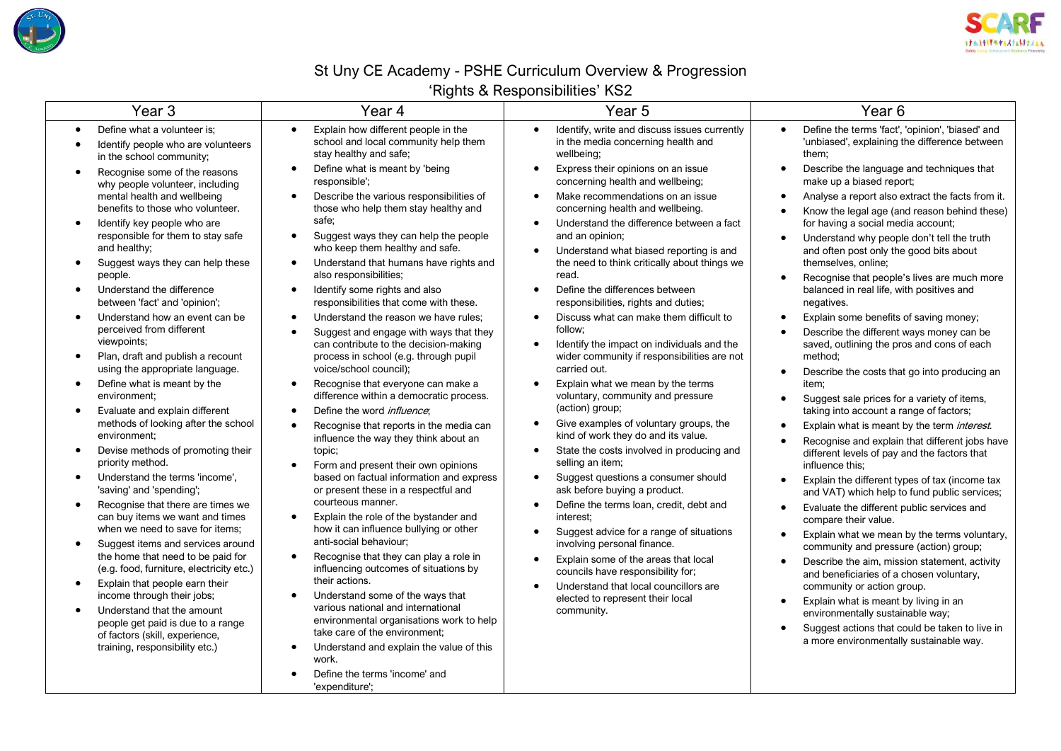



## St Uny CE Academy - PSHE Curriculum Overview & Progression

## 'Rights & Responsibilities' KS2

| Year <sub>3</sub>                                                                                                                                                                                                                                                                                                                                                                                                                                                                                                                                                                                                                                                                                                                                                                                                                                                                                                                                                                                                                                                                                                                                                                                                                | Year 4                                                                                                                                                                                                                                                                                                                                                                                                                                                                                                                                                                                                                                                                                                                                                                                                                                                                                                                                                                                                                                                                                                                                                                                                                                                                                                                                                                                                                                                                                | $$ g $$ co $\infty$ , $$ copo $$ c $$ c $$<br>Year <sub>5</sub>                                                                                                                                                                                                                                                                                                                                                                                                                                                                                                                                                                                                                                                                                                                                                                                                                                                                                                                                                                                                                                                                                                                                                                                                                | Year <sub>6</sub>                                                                                                                                                                                                                                                                                                                                                                                                                                                                                                                                                                                                                                                                                                                                                                                                                                                                                                                                                                                                                                                                                                                                                                                                                                                                                                                                                                                                                                                                                                                                                                                                                                         |
|----------------------------------------------------------------------------------------------------------------------------------------------------------------------------------------------------------------------------------------------------------------------------------------------------------------------------------------------------------------------------------------------------------------------------------------------------------------------------------------------------------------------------------------------------------------------------------------------------------------------------------------------------------------------------------------------------------------------------------------------------------------------------------------------------------------------------------------------------------------------------------------------------------------------------------------------------------------------------------------------------------------------------------------------------------------------------------------------------------------------------------------------------------------------------------------------------------------------------------|---------------------------------------------------------------------------------------------------------------------------------------------------------------------------------------------------------------------------------------------------------------------------------------------------------------------------------------------------------------------------------------------------------------------------------------------------------------------------------------------------------------------------------------------------------------------------------------------------------------------------------------------------------------------------------------------------------------------------------------------------------------------------------------------------------------------------------------------------------------------------------------------------------------------------------------------------------------------------------------------------------------------------------------------------------------------------------------------------------------------------------------------------------------------------------------------------------------------------------------------------------------------------------------------------------------------------------------------------------------------------------------------------------------------------------------------------------------------------------------|--------------------------------------------------------------------------------------------------------------------------------------------------------------------------------------------------------------------------------------------------------------------------------------------------------------------------------------------------------------------------------------------------------------------------------------------------------------------------------------------------------------------------------------------------------------------------------------------------------------------------------------------------------------------------------------------------------------------------------------------------------------------------------------------------------------------------------------------------------------------------------------------------------------------------------------------------------------------------------------------------------------------------------------------------------------------------------------------------------------------------------------------------------------------------------------------------------------------------------------------------------------------------------|-----------------------------------------------------------------------------------------------------------------------------------------------------------------------------------------------------------------------------------------------------------------------------------------------------------------------------------------------------------------------------------------------------------------------------------------------------------------------------------------------------------------------------------------------------------------------------------------------------------------------------------------------------------------------------------------------------------------------------------------------------------------------------------------------------------------------------------------------------------------------------------------------------------------------------------------------------------------------------------------------------------------------------------------------------------------------------------------------------------------------------------------------------------------------------------------------------------------------------------------------------------------------------------------------------------------------------------------------------------------------------------------------------------------------------------------------------------------------------------------------------------------------------------------------------------------------------------------------------------------------------------------------------------|
| Define what a volunteer is:<br>Identify people who are volunteers<br>in the school community;<br>Recognise some of the reasons                                                                                                                                                                                                                                                                                                                                                                                                                                                                                                                                                                                                                                                                                                                                                                                                                                                                                                                                                                                                                                                                                                   | Explain how different people in the<br>$\bullet$<br>school and local community help them<br>stay healthy and safe;<br>Define what is meant by 'being<br>$\bullet$                                                                                                                                                                                                                                                                                                                                                                                                                                                                                                                                                                                                                                                                                                                                                                                                                                                                                                                                                                                                                                                                                                                                                                                                                                                                                                                     | Identify, write and discuss issues currently<br>$\bullet$<br>in the media concerning health and<br>wellbeing;<br>Express their opinions on an issue<br>$\bullet$                                                                                                                                                                                                                                                                                                                                                                                                                                                                                                                                                                                                                                                                                                                                                                                                                                                                                                                                                                                                                                                                                                               | Define the terms 'fact', 'opinion', 'biased' and<br>$\bullet$<br>'unbiased', explaining the difference between<br>them:<br>Describe the language and techniques that<br>$\bullet$                                                                                                                                                                                                                                                                                                                                                                                                                                                                                                                                                                                                                                                                                                                                                                                                                                                                                                                                                                                                                                                                                                                                                                                                                                                                                                                                                                                                                                                                         |
| why people volunteer, including<br>mental health and wellbeing<br>benefits to those who volunteer.<br>Identify key people who are<br>responsible for them to stay safe<br>and healthy;<br>Suggest ways they can help these<br>people.<br>Understand the difference<br>between 'fact' and 'opinion';<br>Understand how an event can be<br>perceived from different<br>viewpoints;<br>Plan, draft and publish a recount<br>$\bullet$<br>using the appropriate language.<br>Define what is meant by the<br>environment;<br>Evaluate and explain different<br>methods of looking after the school<br>environment;<br>Devise methods of promoting their<br>$\bullet$<br>priority method.<br>Understand the terms 'income',<br>$\bullet$<br>'saving' and 'spending';<br>Recognise that there are times we<br>can buy items we want and times<br>when we need to save for items;<br>Suggest items and services around<br>$\bullet$<br>the home that need to be paid for<br>(e.g. food, furniture, electricity etc.)<br>Explain that people earn their<br>$\bullet$<br>income through their jobs;<br>Understand that the amount<br>people get paid is due to a range<br>of factors (skill, experience,<br>training, responsibility etc.) | responsible';<br>Describe the various responsibilities of<br>those who help them stay healthy and<br>safe:<br>Suggest ways they can help the people<br>$\bullet$<br>who keep them healthy and safe.<br>Understand that humans have rights and<br>$\bullet$<br>also responsibilities;<br>Identify some rights and also<br>$\bullet$<br>responsibilities that come with these.<br>Understand the reason we have rules;<br>$\bullet$<br>Suggest and engage with ways that they<br>$\bullet$<br>can contribute to the decision-making<br>process in school (e.g. through pupil<br>voice/school council);<br>Recognise that everyone can make a<br>$\bullet$<br>difference within a democratic process.<br>Define the word <i>influence</i> :<br>$\bullet$<br>Recognise that reports in the media can<br>$\bullet$<br>influence the way they think about an<br>topic;<br>Form and present their own opinions<br>based on factual information and express<br>or present these in a respectful and<br>courteous manner.<br>Explain the role of the bystander and<br>$\bullet$<br>how it can influence bullying or other<br>anti-social behaviour;<br>Recognise that they can play a role in<br>$\bullet$<br>influencing outcomes of situations by<br>their actions.<br>Understand some of the ways that<br>various national and international<br>environmental organisations work to help<br>take care of the environment;<br>Understand and explain the value of this<br>$\bullet$<br>work. | concerning health and wellbeing;<br>Make recommendations on an issue<br>$\bullet$<br>concerning health and wellbeing.<br>Understand the difference between a fact<br>and an opinion;<br>Understand what biased reporting is and<br>$\bullet$<br>the need to think critically about things we<br>read.<br>Define the differences between<br>$\bullet$<br>responsibilities, rights and duties;<br>Discuss what can make them difficult to<br>$\bullet$<br>follow:<br>Identify the impact on individuals and the<br>$\bullet$<br>wider community if responsibilities are not<br>carried out.<br>Explain what we mean by the terms<br>voluntary, community and pressure<br>(action) group;<br>Give examples of voluntary groups, the<br>kind of work they do and its value.<br>State the costs involved in producing and<br>$\bullet$<br>selling an item;<br>Suggest questions a consumer should<br>$\bullet$<br>ask before buying a product.<br>Define the terms loan, credit, debt and<br>$\bullet$<br>interest:<br>Suggest advice for a range of situations<br>$\bullet$<br>involving personal finance.<br>Explain some of the areas that local<br>councils have responsibility for;<br>Understand that local councillors are<br>elected to represent their local<br>community. | make up a biased report;<br>Analyse a report also extract the facts from it.<br>$\bullet$<br>Know the legal age (and reason behind these)<br>$\bullet$<br>for having a social media account;<br>Understand why people don't tell the truth<br>$\bullet$<br>and often post only the good bits about<br>themselves, online;<br>Recognise that people's lives are much more<br>$\bullet$<br>balanced in real life, with positives and<br>negatives.<br>Explain some benefits of saving money;<br>$\bullet$<br>Describe the different ways money can be<br>$\bullet$<br>saved, outlining the pros and cons of each<br>method;<br>Describe the costs that go into producing an<br>$\bullet$<br>item;<br>Suggest sale prices for a variety of items,<br>$\bullet$<br>taking into account a range of factors;<br>Explain what is meant by the term interest.<br>$\bullet$<br>Recognise and explain that different jobs have<br>$\bullet$<br>different levels of pay and the factors that<br>influence this:<br>Explain the different types of tax (income tax<br>$\bullet$<br>and VAT) which help to fund public services;<br>Evaluate the different public services and<br>$\bullet$<br>compare their value.<br>Explain what we mean by the terms voluntary,<br>$\bullet$<br>community and pressure (action) group;<br>Describe the aim, mission statement, activity<br>$\bullet$<br>and beneficiaries of a chosen voluntary,<br>community or action group.<br>Explain what is meant by living in an<br>$\bullet$<br>environmentally sustainable way;<br>Suggest actions that could be taken to live in<br>$\bullet$<br>a more environmentally sustainable way. |
|                                                                                                                                                                                                                                                                                                                                                                                                                                                                                                                                                                                                                                                                                                                                                                                                                                                                                                                                                                                                                                                                                                                                                                                                                                  | Define the terms 'income' and<br>'expenditure':                                                                                                                                                                                                                                                                                                                                                                                                                                                                                                                                                                                                                                                                                                                                                                                                                                                                                                                                                                                                                                                                                                                                                                                                                                                                                                                                                                                                                                       |                                                                                                                                                                                                                                                                                                                                                                                                                                                                                                                                                                                                                                                                                                                                                                                                                                                                                                                                                                                                                                                                                                                                                                                                                                                                                |                                                                                                                                                                                                                                                                                                                                                                                                                                                                                                                                                                                                                                                                                                                                                                                                                                                                                                                                                                                                                                                                                                                                                                                                                                                                                                                                                                                                                                                                                                                                                                                                                                                           |